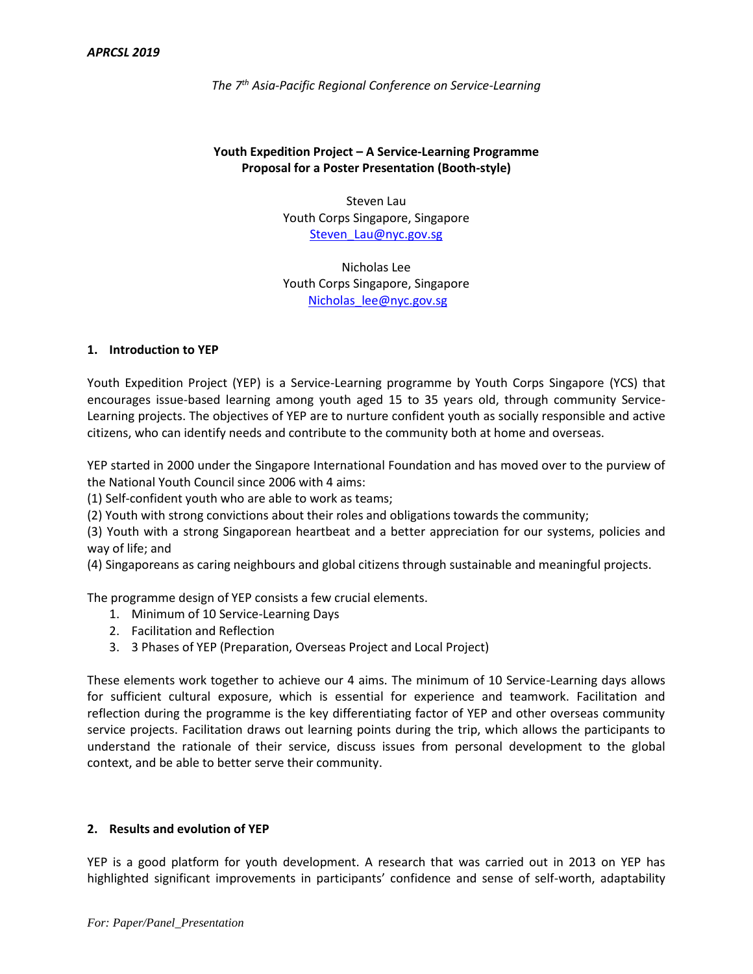# **Youth Expedition Project – A Service-Learning Programme Proposal for a Poster Presentation (Booth-style)**

Steven Lau Youth Corps Singapore, Singapore [Steven\\_Lau@nyc.gov.sg](mailto:Steven_Lau@nyc.gov.sg)

Nicholas Lee Youth Corps Singapore, Singapore [Nicholas\\_lee@nyc.gov.sg](mailto:Nicholas_lee@nyc.gov.sg)

#### **1. Introduction to YEP**

Youth Expedition Project (YEP) is a Service-Learning programme by Youth Corps Singapore (YCS) that encourages issue-based learning among youth aged 15 to 35 years old, through community Service-Learning projects. The objectives of YEP are to nurture confident youth as socially responsible and active citizens, who can identify needs and contribute to the community both at home and overseas.

YEP started in 2000 under the Singapore International Foundation and has moved over to the purview of the National Youth Council since 2006 with 4 aims:

(1) Self-confident youth who are able to work as teams;

(2) Youth with strong convictions about their roles and obligations towards the community;

(3) Youth with a strong Singaporean heartbeat and a better appreciation for our systems, policies and way of life; and

(4) Singaporeans as caring neighbours and global citizens through sustainable and meaningful projects.

The programme design of YEP consists a few crucial elements.

- 1. Minimum of 10 Service-Learning Days
- 2. Facilitation and Reflection
- 3. 3 Phases of YEP (Preparation, Overseas Project and Local Project)

These elements work together to achieve our 4 aims. The minimum of 10 Service-Learning days allows for sufficient cultural exposure, which is essential for experience and teamwork. Facilitation and reflection during the programme is the key differentiating factor of YEP and other overseas community service projects. Facilitation draws out learning points during the trip, which allows the participants to understand the rationale of their service, discuss issues from personal development to the global context, and be able to better serve their community.

#### **2. Results and evolution of YEP**

YEP is a good platform for youth development. A research that was carried out in 2013 on YEP has highlighted significant improvements in participants' confidence and sense of self-worth, adaptability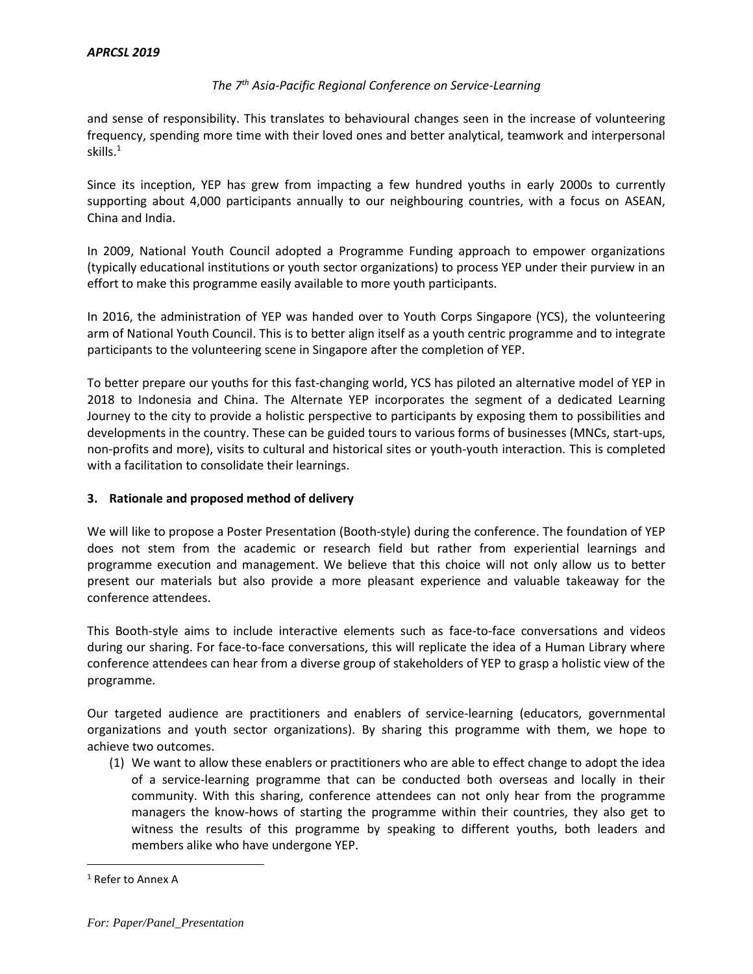and sense of responsibility. This translates to behavioural changes seen in the increase of volunteering frequency, spending more time with their loved ones and better analytical, teamwork and interpersonal skills. 1

Since its inception, YEP has grew from impacting a few hundred youths in early 2000s to currently supporting about 4,000 participants annually to our neighbouring countries, with a focus on ASEAN, China and India.

In 2009, National Youth Council adopted a Programme Funding approach to empower organizations (typically educational institutions or youth sector organizations) to process YEP under their purview in an effort to make this programme easily available to more youth participants.

In 2016, the administration of YEP was handed over to Youth Corps Singapore (YCS), the volunteering arm of National Youth Council. This is to better align itself as a youth centric programme and to integrate participants to the volunteering scene in Singapore after the completion of YEP.

To better prepare our youths for this fast-changing world, YCS has piloted an alternative model of YEP in 2018 to Indonesia and China. The Alternate YEP incorporates the segment of a dedicated Learning Journey to the city to provide a holistic perspective to participants by exposing them to possibilities and developments in the country. These can be guided tours to various forms of businesses (MNCs, start-ups, non-profits and more), visits to cultural and historical sites or youth-youth interaction. This is completed with a facilitation to consolidate their learnings.

# **3. Rationale and proposed method of delivery**

We will like to propose a Poster Presentation (Booth-style) during the conference. The foundation of YEP does not stem from the academic or research field but rather from experiential learnings and programme execution and management. We believe that this choice will not only allow us to better present our materials but also provide a more pleasant experience and valuable takeaway for the conference attendees.

This Booth-style aims to include interactive elements such as face-to-face conversations and videos during our sharing. For face-to-face conversations, this will replicate the idea of a Human Library where conference attendees can hear from a diverse group of stakeholders of YEP to grasp a holistic view of the programme.

Our targeted audience are practitioners and enablers of service-learning (educators, governmental organizations and youth sector organizations). By sharing this programme with them, we hope to achieve two outcomes.

(1) We want to allow these enablers or practitioners who are able to effect change to adopt the idea of a service-learning programme that can be conducted both overseas and locally in their community. With this sharing, conference attendees can not only hear from the programme managers the know-hows of starting the programme within their countries, they also get to witness the results of this programme by speaking to different youths, both leaders and members alike who have undergone YEP.

 $\overline{a}$ 

<sup>&</sup>lt;sup>1</sup> Refer to Annex A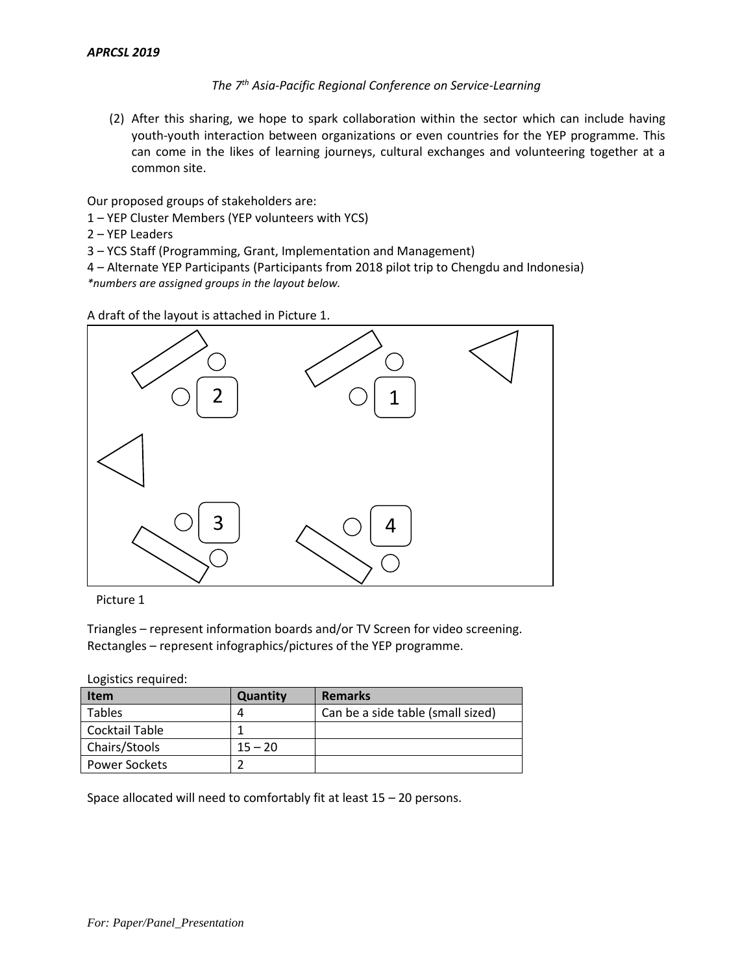(2) After this sharing, we hope to spark collaboration within the sector which can include having youth-youth interaction between organizations or even countries for the YEP programme. This can come in the likes of learning journeys, cultural exchanges and volunteering together at a common site.

Our proposed groups of stakeholders are:

1 – YEP Cluster Members (YEP volunteers with YCS)

2 – YEP Leaders

3 – YCS Staff (Programming, Grant, Implementation and Management)

4 – Alternate YEP Participants (Participants from 2018 pilot trip to Chengdu and Indonesia) *\*numbers are assigned groups in the layout below.* 

A draft of the layout is attached in Picture 1.



Picture 1

Triangles – represent information boards and/or TV Screen for video screening. Rectangles – represent infographics/pictures of the YEP programme.

Logistics required:

| Item                 | Quantity  | <b>Remarks</b>                    |
|----------------------|-----------|-----------------------------------|
| <b>Tables</b>        |           | Can be a side table (small sized) |
| Cocktail Table       |           |                                   |
| Chairs/Stools        | $15 - 20$ |                                   |
| <b>Power Sockets</b> |           |                                   |

Space allocated will need to comfortably fit at least 15 – 20 persons.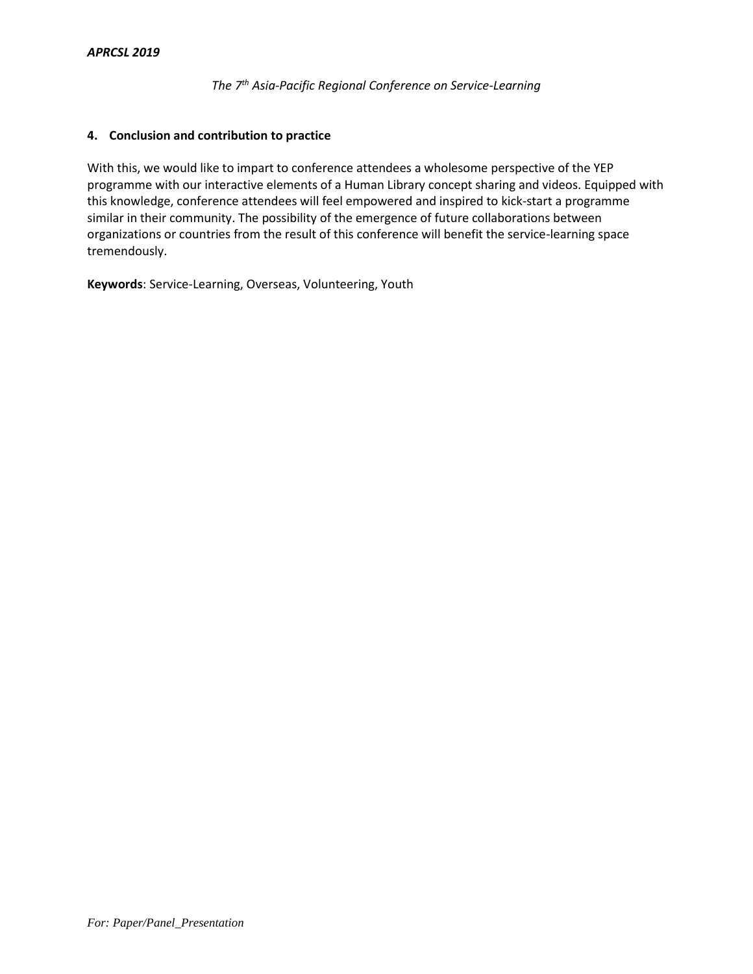# **4. Conclusion and contribution to practice**

With this, we would like to impart to conference attendees a wholesome perspective of the YEP programme with our interactive elements of a Human Library concept sharing and videos. Equipped with this knowledge, conference attendees will feel empowered and inspired to kick-start a programme similar in their community. The possibility of the emergence of future collaborations between organizations or countries from the result of this conference will benefit the service-learning space tremendously.

**Keywords**: Service-Learning, Overseas, Volunteering, Youth